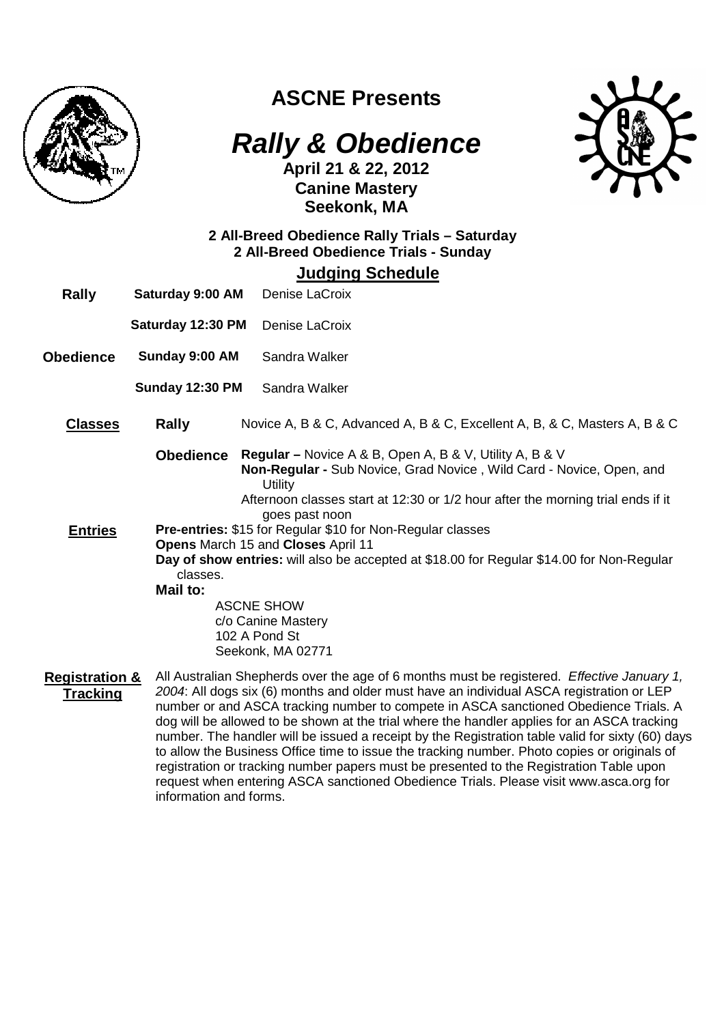

## **ASCNE Presents**

# **Rally & Obedience**

**April 21 & 22, 2012 Canine Mastery Seekonk, MA** 



### **2 All-Breed Obedience Rally Trials – Saturday 2 All-Breed Obedience Trials - Sunday**

**Judging Schedule**

- **Rally Saturday 9:00 AM** Denise LaCroix
	- **Saturday 12:30 PM** Denise LaCroix
- **Obedience Sunday 9:00 AM** Sandra Walker

**Sunday 12:30 PM** Sandra Walker

- **Classes Rally** Novice A, B & C, Advanced A, B & C, Excellent A, B, & C, Masters A, B & C
	- **Obedience Regular** Novice A & B, Open A, B & V, Utility A, B & V **Non-Regular -** Sub Novice, Grad Novice , Wild Card - Novice, Open, and **Utility** Afternoon classes start at 12:30 or 1/2 hour after the morning trial ends if it

goes past noon

**Entries Pre-entries:** \$15 for Regular \$10 for Non-Regular classes **Opens** March 15 and **Closes** April 11

**Day of show entries:** will also be accepted at \$18.00 for Regular \$14.00 for Non-Regular classes.

**Mail to:** 

ASCNE SHOW c/o Canine Mastery 102 A Pond St Seekonk, MA 02771

**Registration & Tracking** All Australian Shepherds over the age of 6 months must be registered. Effective January 1, 2004: All dogs six (6) months and older must have an individual ASCA registration or LEP number or and ASCA tracking number to compete in ASCA sanctioned Obedience Trials. A dog will be allowed to be shown at the trial where the handler applies for an ASCA tracking number. The handler will be issued a receipt by the Registration table valid for sixty (60) days to allow the Business Office time to issue the tracking number. Photo copies or originals of registration or tracking number papers must be presented to the Registration Table upon request when entering ASCA sanctioned Obedience Trials. Please visit www.asca.org for information and forms.